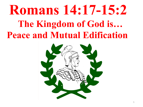# **Romans 14:17-15:2 The Kingdom of God is… Peace and Mutual Edification**

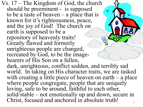Vs.  $17$  – The Kingdom of God, the church should be preeminent - is supposed to be a taste of heaven  $-$  a place that is known for it's righteousness, peace, and the joy of God! The church on earth is supposed to be a repository of heavenly traits! Greatly flawed and formerly unrighteous people are changed, recreated by God, to be the image- bearers of His Son on a fallen, dark, unrighteous, conflict sodden, and terribly sad world. In taking on His character traits, we are tasked with creating a little piece of heaven on earth  $-$  a place where people congregate, people that are uniquely loving, safe to be around, faithful to each other, solid/stable – not emotionally up and down, secure in Christ, focused and anchored in absolute truth!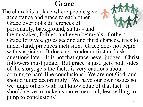## **Grace**

The church is a place where people give acceptance and grace to each other. Grace overlooks differences of personality, background, status - and the mistakes, foibles, and even betrayals of others. Grace forgives, gives second and third chances, tries to understand, practices inclusion. Grace does not begin with suspicion. It does not condemn first and ask questions later. It is not that grace never judges. Christ- followers must judge. But grace is just, gets both sides of the story, gets the facts, is very cautious about coming to hard-line conclusions. We are not God, and should judge accordingly! We have our own issues so we judge others with full knowledge of that fact. It should serve to make us more merciful, less willing to jump to conclusions!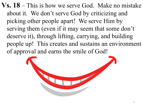**Vs. 18** – This is how we serve God. Make no mistake about it. We don't serve God by criticizing and picking other people apart! We serve Him by serving them (even if it may seem that some don't deserve it), through lifting, carrying, and building people up! This creates and sustains an environment of approval and earns the smile of God!

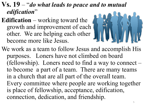## **Vs. 19** – "*do what leads to peace and to mutual edification*"

**Edification** – working toward the growth and improvement of each other. We are helping each other become more like Jesus.



We work as a team to follow Jesus and accomplish His purposes. Loners have not climbed on board (fellowship). Loners need to find a way to connect – to become a part of a team. There are many teams in a church that are all part of the overall team. Every committee where people are working together is place of fellowship, acceptance, edification, connection, dedication, and friendship.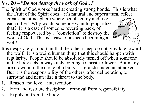#### **Vs. 20** – "*Do not destroy the work of God…*"

- The Spirit of God works hard at creating strong bonds. This is what the Fruit of the Spirit does – it's natural and supernatural effect creates an atmosphere where people enjoy and like each other! Why would someone want to jeopardize that? It is a case of someone reverting back, of feeling empowered by a "conviction" to destroy the work of God. This is a case of a sheep becoming a wolf!
- It is desperately important that the other sheep do not gravitate toward the wolf. It is a weird human thing that this should happen with regularity. People should be absolutely turned off when someone in the body acts in ways unbecoming a Christ-follower. But many are drawn into the circle of a bully, - a grandstander, an attacker. But it is the responsibility of the others, after deliberation, to surround and neutralize a threat to the body.
- 1. Reason and love intervention
- 2. Firm and resolute discipline removal from responsibility
- 3. Expulsion from the body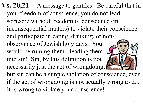**Vs. 20,21** – A message to gentiles. Be careful that in your freedom of conscience, you do not lead someone without freedom of conscience (in inconsequential matters) to violate their conscience and participate in eating, drinking, or nonobservance of Jewish holy days. You would be ruining them - leading them into sin! Sin, by this definition is not necessarily just the act of wrongdoing, but sin can be a simple violation of conscience, even if the act of wrongdoing is not actually wrong to do. It is wrong to violate your conscience!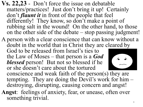- **Vs. 22,23**  Don't force the issue on debatable matters/practices! Just don't bring it up! Certainly don't *flaunt it* in front of the people that feel differently! They know, so don't make a point of rubbing salt in the wound! On the other hand, to those on the other side of the debate – stop passing judgment!
- A person with a clear conscience that can know without a doubt in the world that in Christ they are cleared by

God to be released from Israel's ties to the Law of Moses – that person is a *God blessed* person! But not so blessed if he or she doesn't care about the tortured



- conscience and weak faith of the person(s) they are tempting. They are doing the Devil's work for him – destroying, disrupting, causing concern and angst!
- **Angst**: feelings of anxiety, fear, or unease, often over something trivial.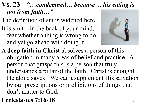## **Vs. 23** – *"…condemned… because… his eating is not from faith…"*

- The definition of sin is widened here.
- It is sin to, in the back of your mind, fear whether a thing is wrong to do, and yet go ahead with doing it.
- **A deep faith in Christ** absolves a person of this obligation in many areas of belief and practice. A person that grasps this is a person that truly understands a pillar of the faith. Christ is enough! He alone saves! We can't supplement His salvation by our prescriptions or prohibitions of things that don't matter to God.
- **Ecclesiastes 7:16-18**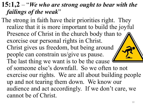## **15:1,2** – "*We who are strong ought to bear with the failings of the weak*"

The strong in faith have their priorities right. They realize that it is more important to build the joyful Presence of Christ in the church body than to  $\Lambda$ exorcise our personal rights in Christ. Christ gives us freedom, but being around people can constrain us/give us pause. The last thing we want is to be the cause of someone else's downfall. So we often to not exercise our rights. We are all about building people up and not tearing them down. We know our audience and act accordingly. If we don't care, we cannot be of Christ.